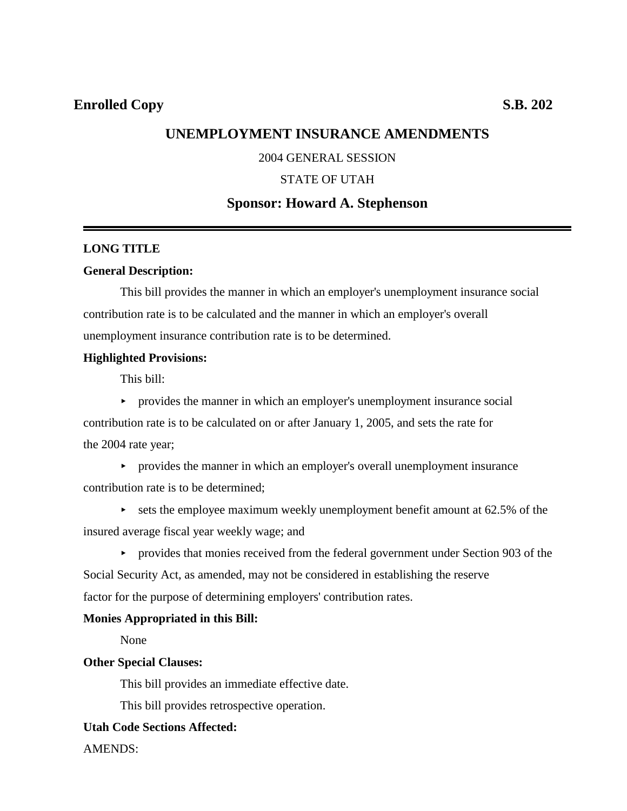## **UNEMPLOYMENT INSURANCE AMENDMENTS**

### 2004 GENERAL SESSION

#### STATE OF UTAH

## **Sponsor: Howard A. Stephenson**

#### **LONG TITLE**

#### **General Description:**

This bill provides the manner in which an employer's unemployment insurance social contribution rate is to be calculated and the manner in which an employer's overall unemployment insurance contribution rate is to be determined.

#### **Highlighted Provisions:**

This bill:

 $\rightarrow$  provides the manner in which an employer's unemployment insurance social

contribution rate is to be calculated on or after January 1, 2005, and sets the rate for the 2004 rate year;

- provides the manner in which an employer's overall unemployment insurance contribution rate is to be determined;
- $\triangleright$  sets the employee maximum weekly unemployment benefit amount at 62.5% of the insured average fiscal year weekly wage; and

**Exercise 1** provides that monies received from the federal government under Section 903 of the Social Security Act, as amended, may not be considered in establishing the reserve factor for the purpose of determining employers' contribution rates.

#### **Monies Appropriated in this Bill:**

None

### **Other Special Clauses:**

This bill provides an immediate effective date.

This bill provides retrospective operation.

### **Utah Code Sections Affected:**

AMENDS: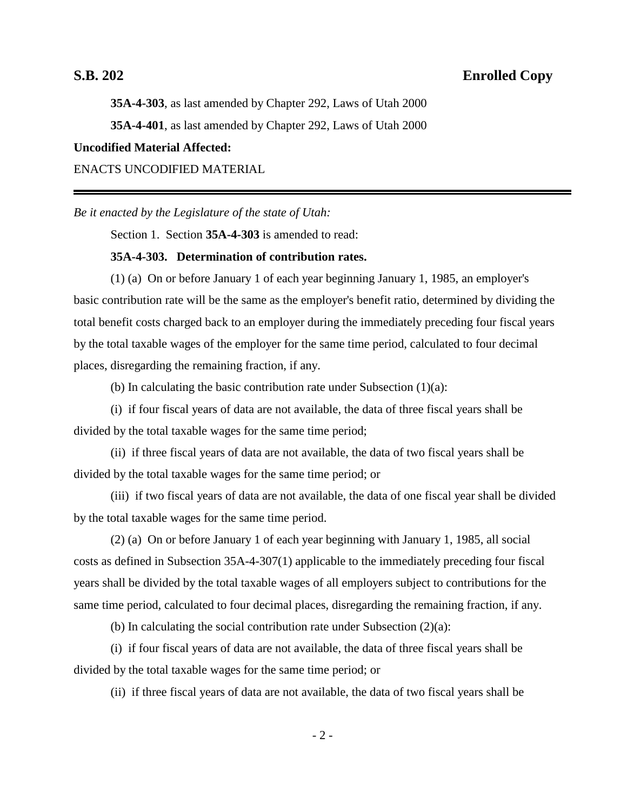**35A-4-303**, as last amended by Chapter 292, Laws of Utah 2000 **35A-4-401**, as last amended by Chapter 292, Laws of Utah 2000 **Uncodified Material Affected:**

ENACTS UNCODIFIED MATERIAL

*Be it enacted by the Legislature of the state of Utah:*

Section 1. Section **35A-4-303** is amended to read:

#### **35A-4-303. Determination of contribution rates.**

(1) (a) On or before January 1 of each year beginning January 1, 1985, an employer's basic contribution rate will be the same as the employer's benefit ratio, determined by dividing the total benefit costs charged back to an employer during the immediately preceding four fiscal years by the total taxable wages of the employer for the same time period, calculated to four decimal places, disregarding the remaining fraction, if any.

(b) In calculating the basic contribution rate under Subsection  $(1)(a)$ :

(i) if four fiscal years of data are not available, the data of three fiscal years shall be divided by the total taxable wages for the same time period;

(ii) if three fiscal years of data are not available, the data of two fiscal years shall be divided by the total taxable wages for the same time period; or

(iii) if two fiscal years of data are not available, the data of one fiscal year shall be divided by the total taxable wages for the same time period.

(2) (a) On or before January 1 of each year beginning with January 1, 1985, all social costs as defined in Subsection 35A-4-307(1) applicable to the immediately preceding four fiscal years shall be divided by the total taxable wages of all employers subject to contributions for the same time period, calculated to four decimal places, disregarding the remaining fraction, if any.

(b) In calculating the social contribution rate under Subsection  $(2)(a)$ :

(i) if four fiscal years of data are not available, the data of three fiscal years shall be divided by the total taxable wages for the same time period; or

(ii) if three fiscal years of data are not available, the data of two fiscal years shall be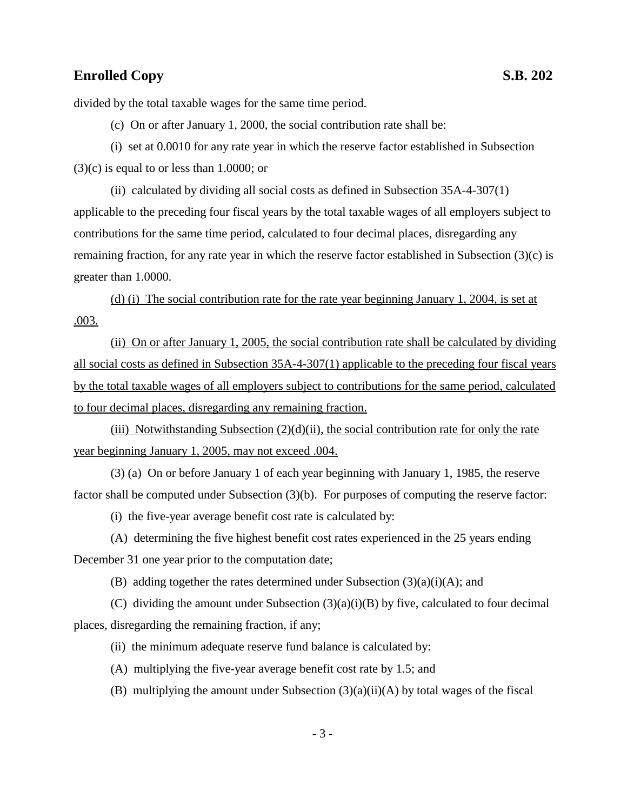divided by the total taxable wages for the same time period.

(c) On or after January 1, 2000, the social contribution rate shall be:

(i) set at 0.0010 for any rate year in which the reserve factor established in Subsection  $(3)(c)$  is equal to or less than 1.0000; or

(ii) calculated by dividing all social costs as defined in Subsection 35A-4-307(1) applicable to the preceding four fiscal years by the total taxable wages of all employers subject to contributions for the same time period, calculated to four decimal places, disregarding any remaining fraction, for any rate year in which the reserve factor established in Subsection (3)(c) is greater than 1.0000.

(d) (i) The social contribution rate for the rate year beginning January 1, 2004, is set at .003.

(ii) On or after January 1, 2005, the social contribution rate shall be calculated by dividing all social costs as defined in Subsection 35A-4-307(1) applicable to the preceding four fiscal years by the total taxable wages of all employers subject to contributions for the same period, calculated to four decimal places, disregarding any remaining fraction.

(iii) Notwithstanding Subsection  $(2)(d)(ii)$ , the social contribution rate for only the rate year beginning January 1, 2005, may not exceed .004.

(3) (a) On or before January 1 of each year beginning with January 1, 1985, the reserve factor shall be computed under Subsection (3)(b). For purposes of computing the reserve factor:

(i) the five-year average benefit cost rate is calculated by:

(A) determining the five highest benefit cost rates experienced in the 25 years ending December 31 one year prior to the computation date;

(B) adding together the rates determined under Subsection  $(3)(a)(i)(A)$ ; and

(C) dividing the amount under Subsection  $(3)(a)(i)(B)$  by five, calculated to four decimal places, disregarding the remaining fraction, if any;

(ii) the minimum adequate reserve fund balance is calculated by:

- (A) multiplying the five-year average benefit cost rate by 1.5; and
- (B) multiplying the amount under Subsection  $(3)(a)(ii)(A)$  by total wages of the fiscal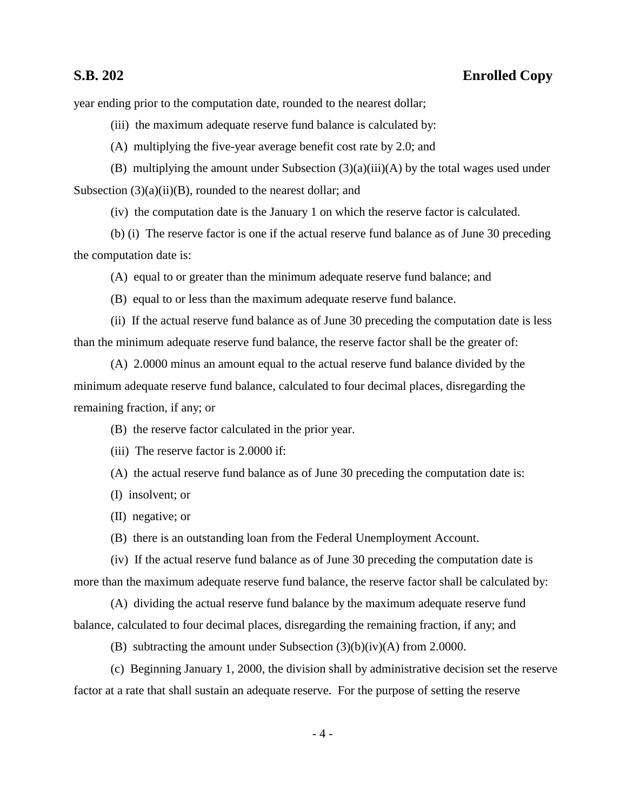year ending prior to the computation date, rounded to the nearest dollar;

(iii) the maximum adequate reserve fund balance is calculated by:

(A) multiplying the five-year average benefit cost rate by 2.0; and

(B) multiplying the amount under Subsection (3)(a)(iii)(A) by the total wages used under Subsection  $(3)(a)(ii)(B)$ , rounded to the nearest dollar; and

(iv) the computation date is the January 1 on which the reserve factor is calculated.

(b) (i) The reserve factor is one if the actual reserve fund balance as of June 30 preceding the computation date is:

(A) equal to or greater than the minimum adequate reserve fund balance; and

(B) equal to or less than the maximum adequate reserve fund balance.

(ii) If the actual reserve fund balance as of June 30 preceding the computation date is less than the minimum adequate reserve fund balance, the reserve factor shall be the greater of:

(A) 2.0000 minus an amount equal to the actual reserve fund balance divided by the minimum adequate reserve fund balance, calculated to four decimal places, disregarding the remaining fraction, if any; or

(B) the reserve factor calculated in the prior year.

(iii) The reserve factor is 2.0000 if:

(A) the actual reserve fund balance as of June 30 preceding the computation date is:

(I) insolvent; or

(II) negative; or

(B) there is an outstanding loan from the Federal Unemployment Account.

(iv) If the actual reserve fund balance as of June 30 preceding the computation date is more than the maximum adequate reserve fund balance, the reserve factor shall be calculated by:

(A) dividing the actual reserve fund balance by the maximum adequate reserve fund balance, calculated to four decimal places, disregarding the remaining fraction, if any; and

(B) subtracting the amount under Subsection (3)(b)(iv)(A) from 2.0000.

(c) Beginning January 1, 2000, the division shall by administrative decision set the reserve factor at a rate that shall sustain an adequate reserve. For the purpose of setting the reserve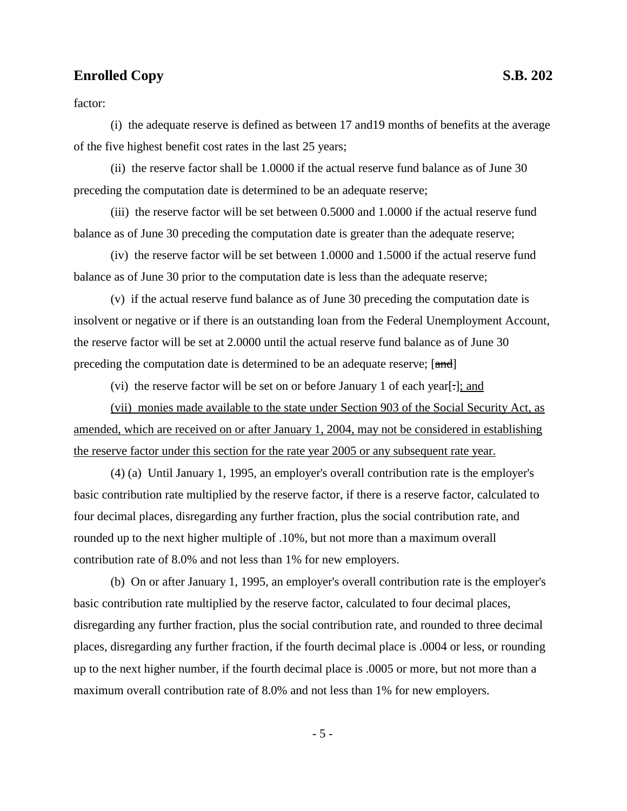factor:

(i) the adequate reserve is defined as between 17 and19 months of benefits at the average of the five highest benefit cost rates in the last 25 years;

(ii) the reserve factor shall be 1.0000 if the actual reserve fund balance as of June 30 preceding the computation date is determined to be an adequate reserve;

(iii) the reserve factor will be set between 0.5000 and 1.0000 if the actual reserve fund balance as of June 30 preceding the computation date is greater than the adequate reserve;

(iv) the reserve factor will be set between 1.0000 and 1.5000 if the actual reserve fund balance as of June 30 prior to the computation date is less than the adequate reserve;

(v) if the actual reserve fund balance as of June 30 preceding the computation date is insolvent or negative or if there is an outstanding loan from the Federal Unemployment Account, the reserve factor will be set at 2.0000 until the actual reserve fund balance as of June 30 preceding the computation date is determined to be an adequate reserve; [and]

(vi) the reserve factor will be set on or before January 1 of each year[.]; and

(vii) monies made available to the state under Section 903 of the Social Security Act, as amended, which are received on or after January 1, 2004, may not be considered in establishing the reserve factor under this section for the rate year 2005 or any subsequent rate year.

(4) (a) Until January 1, 1995, an employer's overall contribution rate is the employer's basic contribution rate multiplied by the reserve factor, if there is a reserve factor, calculated to four decimal places, disregarding any further fraction, plus the social contribution rate, and rounded up to the next higher multiple of .10%, but not more than a maximum overall contribution rate of 8.0% and not less than 1% for new employers.

(b) On or after January 1, 1995, an employer's overall contribution rate is the employer's basic contribution rate multiplied by the reserve factor, calculated to four decimal places, disregarding any further fraction, plus the social contribution rate, and rounded to three decimal places, disregarding any further fraction, if the fourth decimal place is .0004 or less, or rounding up to the next higher number, if the fourth decimal place is .0005 or more, but not more than a maximum overall contribution rate of 8.0% and not less than 1% for new employers.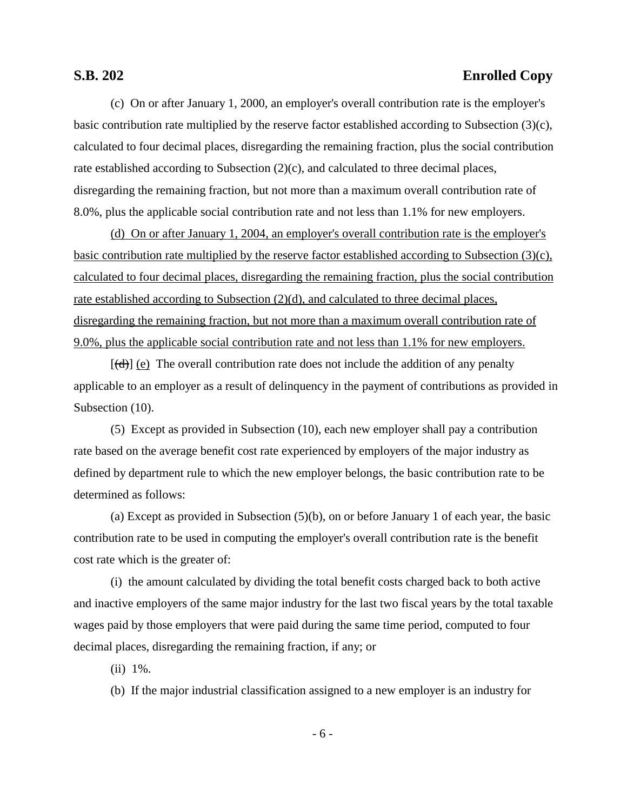(c) On or after January 1, 2000, an employer's overall contribution rate is the employer's basic contribution rate multiplied by the reserve factor established according to Subsection (3)(c), calculated to four decimal places, disregarding the remaining fraction, plus the social contribution rate established according to Subsection (2)(c), and calculated to three decimal places, disregarding the remaining fraction, but not more than a maximum overall contribution rate of 8.0%, plus the applicable social contribution rate and not less than 1.1% for new employers.

(d) On or after January 1, 2004, an employer's overall contribution rate is the employer's basic contribution rate multiplied by the reserve factor established according to Subsection (3)(c), calculated to four decimal places, disregarding the remaining fraction, plus the social contribution rate established according to Subsection (2)(d), and calculated to three decimal places, disregarding the remaining fraction, but not more than a maximum overall contribution rate of 9.0%, plus the applicable social contribution rate and not less than 1.1% for new employers.

 $[\vec{d}]$  (e) The overall contribution rate does not include the addition of any penalty applicable to an employer as a result of delinquency in the payment of contributions as provided in Subsection  $(10)$ .

(5) Except as provided in Subsection (10), each new employer shall pay a contribution rate based on the average benefit cost rate experienced by employers of the major industry as defined by department rule to which the new employer belongs, the basic contribution rate to be determined as follows:

(a) Except as provided in Subsection (5)(b), on or before January 1 of each year, the basic contribution rate to be used in computing the employer's overall contribution rate is the benefit cost rate which is the greater of:

(i) the amount calculated by dividing the total benefit costs charged back to both active and inactive employers of the same major industry for the last two fiscal years by the total taxable wages paid by those employers that were paid during the same time period, computed to four decimal places, disregarding the remaining fraction, if any; or

(ii) 1%.

(b) If the major industrial classification assigned to a new employer is an industry for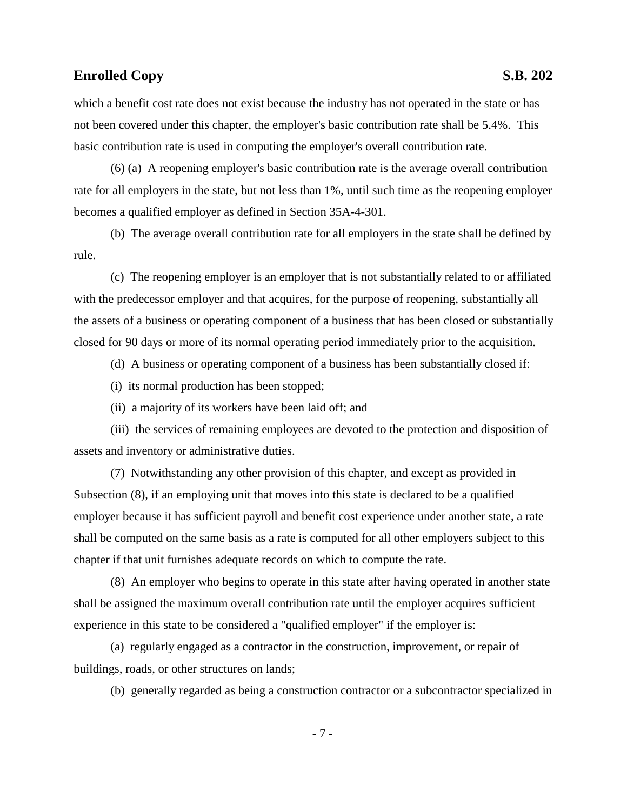which a benefit cost rate does not exist because the industry has not operated in the state or has not been covered under this chapter, the employer's basic contribution rate shall be 5.4%. This basic contribution rate is used in computing the employer's overall contribution rate.

(6) (a) A reopening employer's basic contribution rate is the average overall contribution rate for all employers in the state, but not less than 1%, until such time as the reopening employer becomes a qualified employer as defined in Section 35A-4-301.

(b) The average overall contribution rate for all employers in the state shall be defined by rule.

(c) The reopening employer is an employer that is not substantially related to or affiliated with the predecessor employer and that acquires, for the purpose of reopening, substantially all the assets of a business or operating component of a business that has been closed or substantially closed for 90 days or more of its normal operating period immediately prior to the acquisition.

(d) A business or operating component of a business has been substantially closed if:

(i) its normal production has been stopped;

(ii) a majority of its workers have been laid off; and

(iii) the services of remaining employees are devoted to the protection and disposition of assets and inventory or administrative duties.

(7) Notwithstanding any other provision of this chapter, and except as provided in Subsection (8), if an employing unit that moves into this state is declared to be a qualified employer because it has sufficient payroll and benefit cost experience under another state, a rate shall be computed on the same basis as a rate is computed for all other employers subject to this chapter if that unit furnishes adequate records on which to compute the rate.

(8) An employer who begins to operate in this state after having operated in another state shall be assigned the maximum overall contribution rate until the employer acquires sufficient experience in this state to be considered a "qualified employer" if the employer is:

(a) regularly engaged as a contractor in the construction, improvement, or repair of buildings, roads, or other structures on lands;

(b) generally regarded as being a construction contractor or a subcontractor specialized in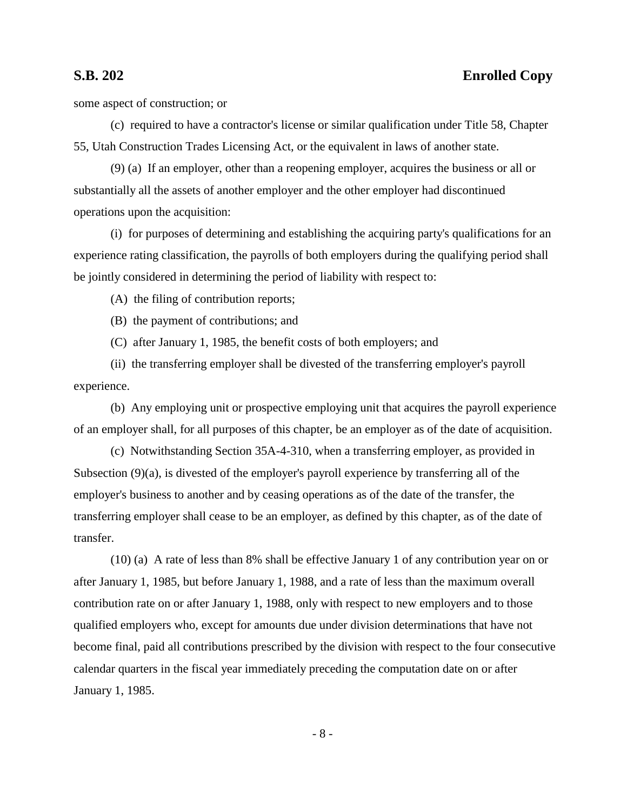some aspect of construction; or

(c) required to have a contractor's license or similar qualification under Title 58, Chapter 55, Utah Construction Trades Licensing Act, or the equivalent in laws of another state.

(9) (a) If an employer, other than a reopening employer, acquires the business or all or substantially all the assets of another employer and the other employer had discontinued operations upon the acquisition:

(i) for purposes of determining and establishing the acquiring party's qualifications for an experience rating classification, the payrolls of both employers during the qualifying period shall be jointly considered in determining the period of liability with respect to:

(A) the filing of contribution reports;

(B) the payment of contributions; and

(C) after January 1, 1985, the benefit costs of both employers; and

(ii) the transferring employer shall be divested of the transferring employer's payroll experience.

(b) Any employing unit or prospective employing unit that acquires the payroll experience of an employer shall, for all purposes of this chapter, be an employer as of the date of acquisition.

(c) Notwithstanding Section 35A-4-310, when a transferring employer, as provided in Subsection (9)(a), is divested of the employer's payroll experience by transferring all of the employer's business to another and by ceasing operations as of the date of the transfer, the transferring employer shall cease to be an employer, as defined by this chapter, as of the date of transfer.

(10) (a) A rate of less than 8% shall be effective January 1 of any contribution year on or after January 1, 1985, but before January 1, 1988, and a rate of less than the maximum overall contribution rate on or after January 1, 1988, only with respect to new employers and to those qualified employers who, except for amounts due under division determinations that have not become final, paid all contributions prescribed by the division with respect to the four consecutive calendar quarters in the fiscal year immediately preceding the computation date on or after January 1, 1985.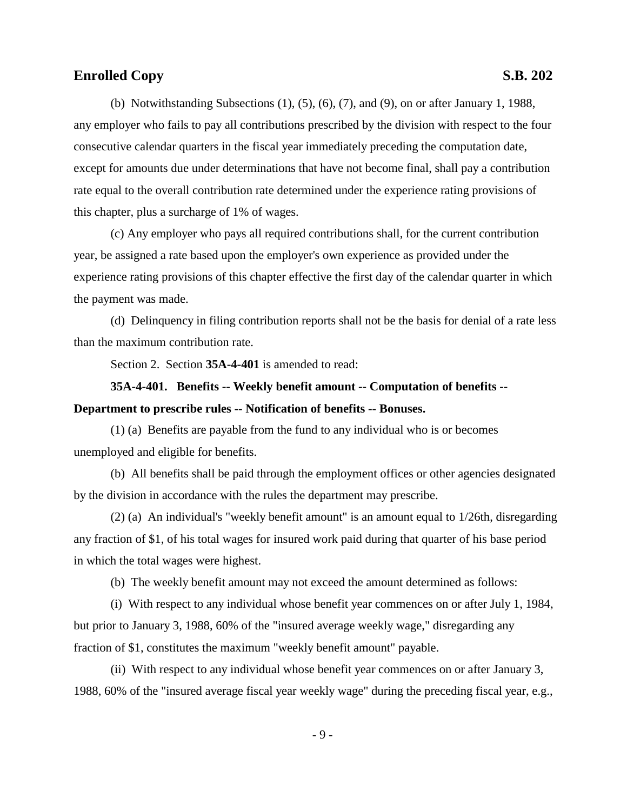(b) Notwithstanding Subsections (1), (5), (6), (7), and (9), on or after January 1, 1988, any employer who fails to pay all contributions prescribed by the division with respect to the four consecutive calendar quarters in the fiscal year immediately preceding the computation date, except for amounts due under determinations that have not become final, shall pay a contribution rate equal to the overall contribution rate determined under the experience rating provisions of this chapter, plus a surcharge of 1% of wages.

(c) Any employer who pays all required contributions shall, for the current contribution year, be assigned a rate based upon the employer's own experience as provided under the experience rating provisions of this chapter effective the first day of the calendar quarter in which the payment was made.

(d) Delinquency in filing contribution reports shall not be the basis for denial of a rate less than the maximum contribution rate.

Section 2. Section **35A-4-401** is amended to read:

**35A-4-401. Benefits -- Weekly benefit amount -- Computation of benefits -- Department to prescribe rules -- Notification of benefits -- Bonuses.**

(1) (a) Benefits are payable from the fund to any individual who is or becomes unemployed and eligible for benefits.

(b) All benefits shall be paid through the employment offices or other agencies designated by the division in accordance with the rules the department may prescribe.

(2) (a) An individual's "weekly benefit amount" is an amount equal to 1/26th, disregarding any fraction of \$1, of his total wages for insured work paid during that quarter of his base period in which the total wages were highest.

(b) The weekly benefit amount may not exceed the amount determined as follows:

(i) With respect to any individual whose benefit year commences on or after July 1, 1984, but prior to January 3, 1988, 60% of the "insured average weekly wage," disregarding any fraction of \$1, constitutes the maximum "weekly benefit amount" payable.

(ii) With respect to any individual whose benefit year commences on or after January 3, 1988, 60% of the "insured average fiscal year weekly wage" during the preceding fiscal year, e.g.,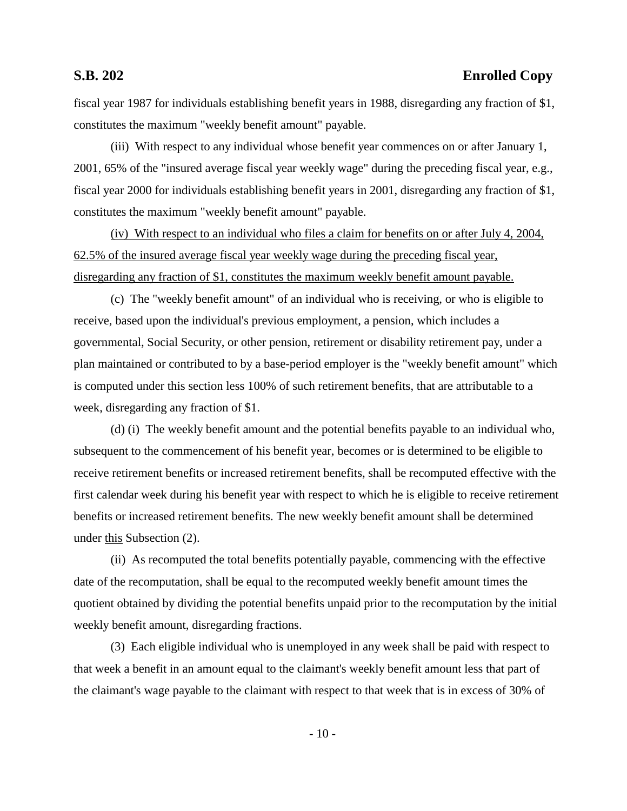fiscal year 1987 for individuals establishing benefit years in 1988, disregarding any fraction of \$1, constitutes the maximum "weekly benefit amount" payable.

(iii) With respect to any individual whose benefit year commences on or after January 1, 2001, 65% of the "insured average fiscal year weekly wage" during the preceding fiscal year, e.g., fiscal year 2000 for individuals establishing benefit years in 2001, disregarding any fraction of \$1, constitutes the maximum "weekly benefit amount" payable.

(iv) With respect to an individual who files a claim for benefits on or after July 4, 2004, 62.5% of the insured average fiscal year weekly wage during the preceding fiscal year, disregarding any fraction of \$1, constitutes the maximum weekly benefit amount payable.

(c) The "weekly benefit amount" of an individual who is receiving, or who is eligible to receive, based upon the individual's previous employment, a pension, which includes a governmental, Social Security, or other pension, retirement or disability retirement pay, under a plan maintained or contributed to by a base-period employer is the "weekly benefit amount" which is computed under this section less 100% of such retirement benefits, that are attributable to a week, disregarding any fraction of \$1.

(d) (i) The weekly benefit amount and the potential benefits payable to an individual who, subsequent to the commencement of his benefit year, becomes or is determined to be eligible to receive retirement benefits or increased retirement benefits, shall be recomputed effective with the first calendar week during his benefit year with respect to which he is eligible to receive retirement benefits or increased retirement benefits. The new weekly benefit amount shall be determined under this Subsection (2).

(ii) As recomputed the total benefits potentially payable, commencing with the effective date of the recomputation, shall be equal to the recomputed weekly benefit amount times the quotient obtained by dividing the potential benefits unpaid prior to the recomputation by the initial weekly benefit amount, disregarding fractions.

(3) Each eligible individual who is unemployed in any week shall be paid with respect to that week a benefit in an amount equal to the claimant's weekly benefit amount less that part of the claimant's wage payable to the claimant with respect to that week that is in excess of 30% of

 $-10-$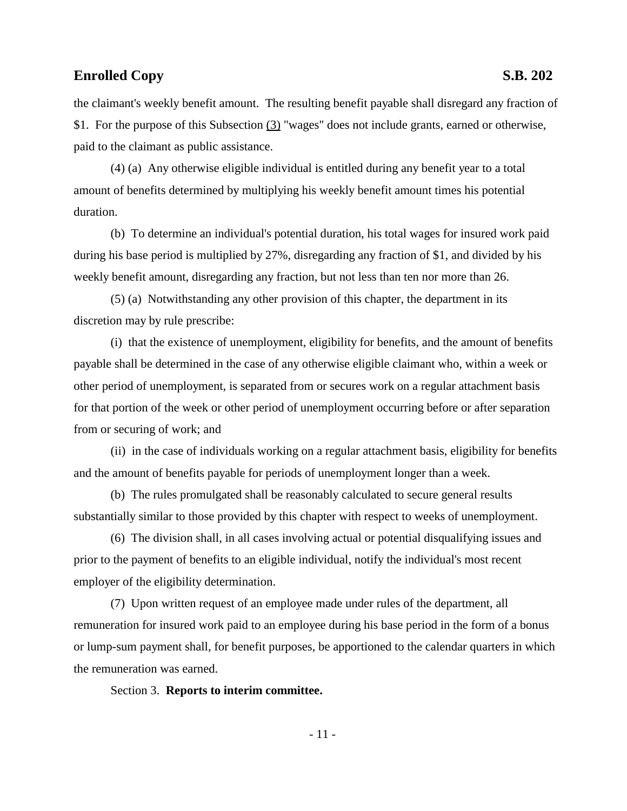the claimant's weekly benefit amount. The resulting benefit payable shall disregard any fraction of \$1. For the purpose of this Subsection (3) "wages" does not include grants, earned or otherwise, paid to the claimant as public assistance.

(4) (a) Any otherwise eligible individual is entitled during any benefit year to a total amount of benefits determined by multiplying his weekly benefit amount times his potential duration.

(b) To determine an individual's potential duration, his total wages for insured work paid during his base period is multiplied by 27%, disregarding any fraction of \$1, and divided by his weekly benefit amount, disregarding any fraction, but not less than ten nor more than 26.

(5) (a) Notwithstanding any other provision of this chapter, the department in its discretion may by rule prescribe:

(i) that the existence of unemployment, eligibility for benefits, and the amount of benefits payable shall be determined in the case of any otherwise eligible claimant who, within a week or other period of unemployment, is separated from or secures work on a regular attachment basis for that portion of the week or other period of unemployment occurring before or after separation from or securing of work; and

(ii) in the case of individuals working on a regular attachment basis, eligibility for benefits and the amount of benefits payable for periods of unemployment longer than a week.

(b) The rules promulgated shall be reasonably calculated to secure general results substantially similar to those provided by this chapter with respect to weeks of unemployment.

(6) The division shall, in all cases involving actual or potential disqualifying issues and prior to the payment of benefits to an eligible individual, notify the individual's most recent employer of the eligibility determination.

(7) Upon written request of an employee made under rules of the department, all remuneration for insured work paid to an employee during his base period in the form of a bonus or lump-sum payment shall, for benefit purposes, be apportioned to the calendar quarters in which the remuneration was earned.

Section 3. **Reports to interim committee.**